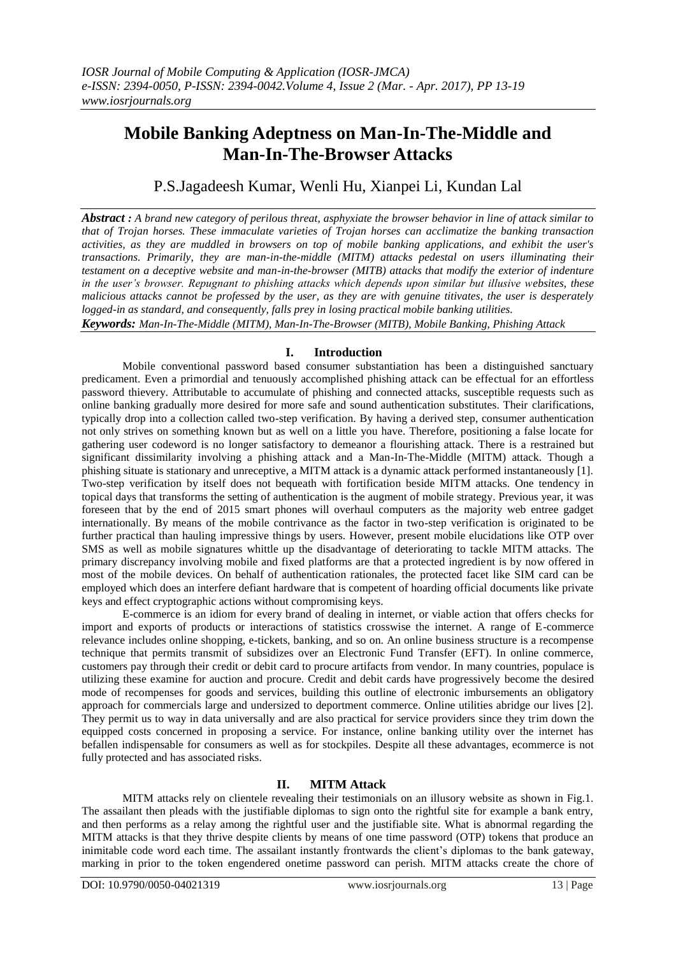# **Mobile Banking Adeptness on Man-In-The-Middle and Man-In-The-Browser Attacks**

P.S.Jagadeesh Kumar, Wenli Hu, Xianpei Li, Kundan Lal

*Abstract : A brand new category of perilous threat, asphyxiate the browser behavior in line of attack similar to that of Trojan horses. These immaculate varieties of Trojan horses can acclimatize the banking transaction activities, as they are muddled in browsers on top of mobile banking applications, and exhibit the user's transactions. Primarily, they are man-in-the-middle (MITM) attacks pedestal on users illuminating their testament on a deceptive website and man-in-the-browser (MITB) attacks that modify the exterior of indenture in the user's browser. Repugnant to phishing attacks which depends upon similar but illusive websites, these malicious attacks cannot be professed by the user, as they are with genuine titivates, the user is desperately logged-in as standard, and consequently, falls prey in losing practical mobile banking utilities.*

*Keywords: Man-In-The-Middle (MITM), Man-In-The-Browser (MITB), Mobile Banking, Phishing Attack*

## **I. Introduction**

Mobile conventional password based consumer substantiation has been a distinguished sanctuary predicament. Even a primordial and tenuously accomplished phishing attack can be effectual for an effortless password thievery. Attributable to accumulate of phishing and connected attacks, susceptible requests such as online banking gradually more desired for more safe and sound authentication substitutes. Their clarifications, typically drop into a collection called two-step verification. By having a derived step, consumer authentication not only strives on something known but as well on a little you have. Therefore, positioning a false locate for gathering user codeword is no longer satisfactory to demeanor a flourishing attack. There is a restrained but significant dissimilarity involving a phishing attack and a Man-In-The-Middle (MITM) attack. Though a phishing situate is stationary and unreceptive, a MITM attack is a dynamic attack performed instantaneously [1]. Two-step verification by itself does not bequeath with fortification beside MITM attacks. One tendency in topical days that transforms the setting of authentication is the augment of mobile strategy. Previous year, it was foreseen that by the end of 2015 smart phones will overhaul computers as the majority web entree gadget internationally. By means of the mobile contrivance as the factor in two-step verification is originated to be further practical than hauling impressive things by users. However, present mobile elucidations like OTP over SMS as well as mobile signatures whittle up the disadvantage of deteriorating to tackle MITM attacks. The primary discrepancy involving mobile and fixed platforms are that a protected ingredient is by now offered in most of the mobile devices. On behalf of authentication rationales, the protected facet like SIM card can be employed which does an interfere defiant hardware that is competent of hoarding official documents like private keys and effect cryptographic actions without compromising keys.

E-commerce is an idiom for every brand of dealing in internet, or viable action that offers checks for import and exports of products or interactions of statistics crosswise the internet. A range of E-commerce relevance includes online shopping, e-tickets, banking, and so on. An online business structure is a recompense technique that permits transmit of subsidizes over an Electronic Fund Transfer (EFT). In online commerce, customers pay through their credit or debit card to procure artifacts from vendor. In many countries, populace is utilizing these examine for auction and procure. Credit and debit cards have progressively become the desired mode of recompenses for goods and services, building this outline of electronic imbursements an obligatory approach for commercials large and undersized to deportment commerce. Online utilities abridge our lives [2]. They permit us to way in data universally and are also practical for service providers since they trim down the equipped costs concerned in proposing a service. For instance, online banking utility over the internet has befallen indispensable for consumers as well as for stockpiles. Despite all these advantages, ecommerce is not fully protected and has associated risks.

# **II. MITM Attack**

MITM attacks rely on clientele revealing their testimonials on an illusory website as shown in Fig.1. The assailant then pleads with the justifiable diplomas to sign onto the rightful site for example a bank entry, and then performs as a relay among the rightful user and the justifiable site. What is abnormal regarding the MITM attacks is that they thrive despite clients by means of one time password (OTP) tokens that produce an inimitable code word each time. The assailant instantly frontwards the client's diplomas to the bank gateway, marking in prior to the token engendered onetime password can perish. MITM attacks create the chore of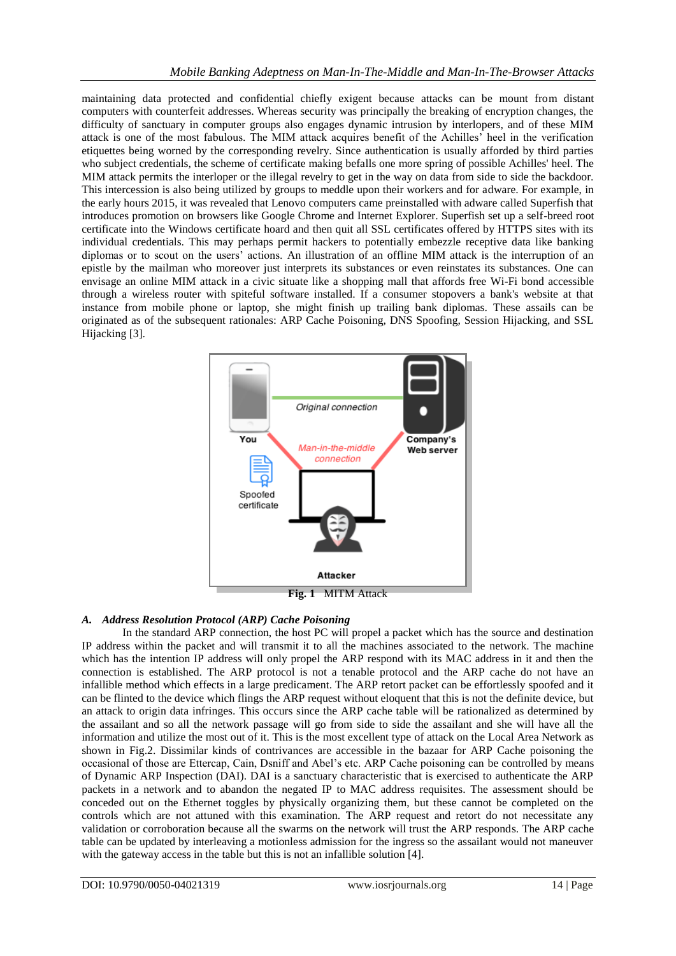maintaining data protected and confidential chiefly exigent because attacks can be mount from distant computers with counterfeit addresses. Whereas security was principally the breaking of encryption changes, the difficulty of sanctuary in computer groups also engages dynamic intrusion by interlopers, and of these MIM attack is one of the most fabulous. The MIM attack acquires benefit of the Achilles' heel in the verification etiquettes being worned by the corresponding revelry. Since authentication is usually afforded by third parties who subject credentials, the scheme of certificate making befalls one more spring of possible Achilles' heel. The MIM attack permits the interloper or the illegal revelry to get in the way on data from side to side the backdoor. This intercession is also being utilized by groups to meddle upon their workers and for adware. For example, in the early hours 2015, it was revealed that Lenovo computers came preinstalled with adware called Superfish that introduces promotion on browsers like Google Chrome and Internet Explorer. Superfish set up a self-breed root certificate into the Windows certificate hoard and then quit all SSL certificates offered by HTTPS sites with its individual credentials. This may perhaps permit hackers to potentially embezzle receptive data like banking diplomas or to scout on the users' actions. An illustration of an offline MIM attack is the interruption of an epistle by the mailman who moreover just interprets its substances or even reinstates its substances. One can envisage an online MIM attack in a civic situate like a shopping mall that affords free Wi-Fi bond accessible through a wireless router with spiteful software installed. If a consumer stopovers a bank's website at that instance from mobile phone or laptop, she might finish up trailing bank diplomas. These assails can be originated as of the subsequent rationales: ARP Cache Poisoning, DNS Spoofing, Session Hijacking, and SSL Hijacking [3].



**Fig. 1** MITM Attack

# *A. Address Resolution Protocol (ARP) Cache Poisoning*

In the standard ARP connection, the host PC will propel a packet which has the source and destination IP address within the packet and will transmit it to all the machines associated to the network. The machine which has the intention IP address will only propel the ARP respond with its MAC address in it and then the connection is established. The ARP protocol is not a tenable protocol and the ARP cache do not have an infallible method which effects in a large predicament. The ARP retort packet can be effortlessly spoofed and it can be flinted to the device which flings the ARP request without eloquent that this is not the definite device, but an attack to origin data infringes. This occurs since the ARP cache table will be rationalized as determined by the assailant and so all the network passage will go from side to side the assailant and she will have all the information and utilize the most out of it. This is the most excellent type of attack on the Local Area Network as shown in Fig.2. Dissimilar kinds of contrivances are accessible in the bazaar for ARP Cache poisoning the occasional of those are Ettercap, Cain, Dsniff and Abel's etc. ARP Cache poisoning can be controlled by means of Dynamic ARP Inspection (DAI). DAI is a sanctuary characteristic that is exercised to authenticate the ARP packets in a network and to abandon the negated IP to MAC address requisites. The assessment should be conceded out on the Ethernet toggles by physically organizing them, but these cannot be completed on the controls which are not attuned with this examination. The ARP request and retort do not necessitate any validation or corroboration because all the swarms on the network will trust the ARP responds. The ARP cache table can be updated by interleaving a motionless admission for the ingress so the assailant would not maneuver with the gateway access in the table but this is not an infallible solution [4].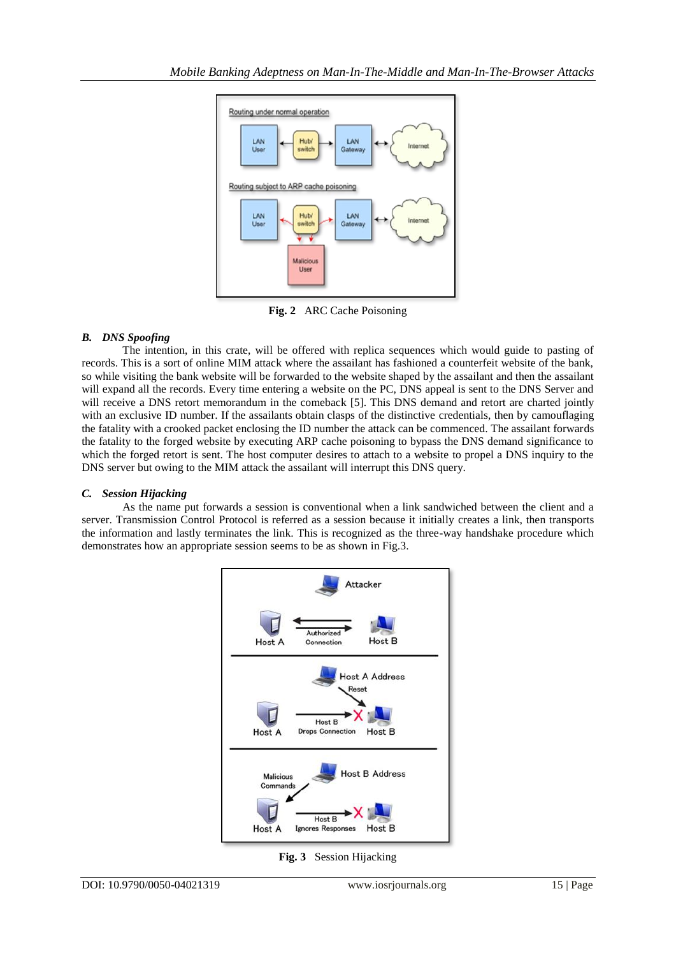

**Fig. 2** ARC Cache Poisoning

# *B. DNS Spoofing*

The intention, in this crate, will be offered with replica sequences which would guide to pasting of records. This is a sort of online MIM attack where the assailant has fashioned a counterfeit website of the bank, so while visiting the bank website will be forwarded to the website shaped by the assailant and then the assailant will expand all the records. Every time entering a website on the PC, DNS appeal is sent to the DNS Server and will receive a DNS retort memorandum in the comeback [5]. This DNS demand and retort are charted jointly with an exclusive ID number. If the assailants obtain clasps of the distinctive credentials, then by camouflaging the fatality with a crooked packet enclosing the ID number the attack can be commenced. The assailant forwards the fatality to the forged website by executing ARP cache poisoning to bypass the DNS demand significance to which the forged retort is sent. The host computer desires to attach to a website to propel a DNS inquiry to the DNS server but owing to the MIM attack the assailant will interrupt this DNS query.

# *C. Session Hijacking*

As the name put forwards a session is conventional when a link sandwiched between the client and a server. Transmission Control Protocol is referred as a session because it initially creates a link, then transports the information and lastly terminates the link. This is recognized as the three-way handshake procedure which demonstrates how an appropriate session seems to be as shown in Fig.3.



**Fig. 3** Session Hijacking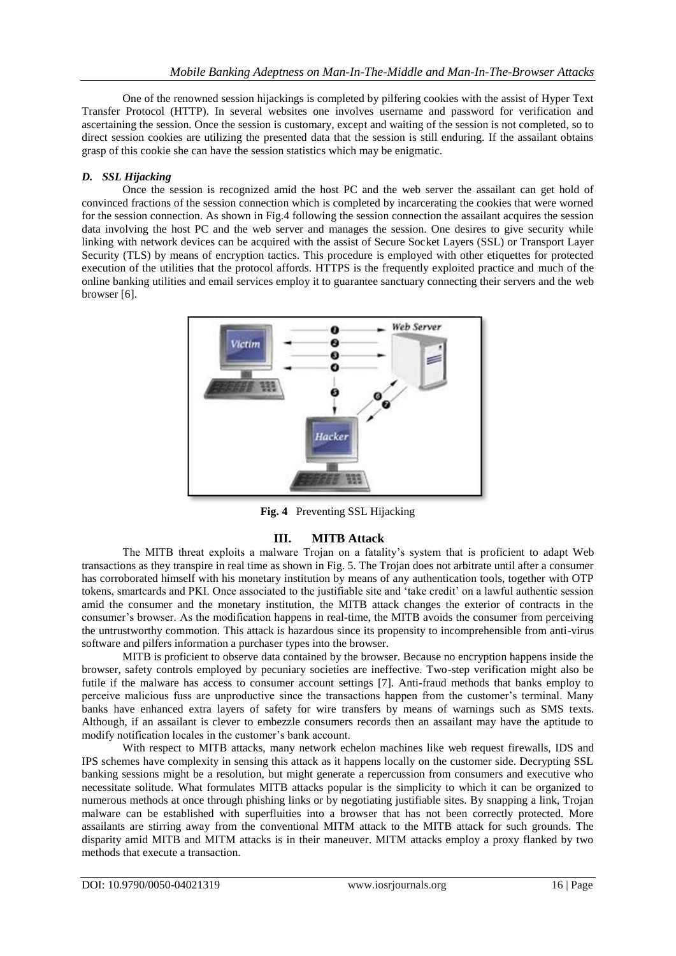One of the renowned session hijackings is completed by pilfering cookies with the assist of Hyper Text Transfer Protocol (HTTP). In several websites one involves username and password for verification and ascertaining the session. Once the session is customary, except and waiting of the session is not completed, so to direct session cookies are utilizing the presented data that the session is still enduring. If the assailant obtains grasp of this cookie she can have the session statistics which may be enigmatic.

### *D. SSL Hijacking*

Once the session is recognized amid the host PC and the web server the assailant can get hold of convinced fractions of the session connection which is completed by incarcerating the cookies that were worned for the session connection. As shown in Fig.4 following the session connection the assailant acquires the session data involving the host PC and the web server and manages the session. One desires to give security while linking with network devices can be acquired with the assist of Secure Socket Layers (SSL) or Transport Layer Security (TLS) by means of encryption tactics. This procedure is employed with other etiquettes for protected execution of the utilities that the protocol affords. HTTPS is the frequently exploited practice and much of the online banking utilities and email services employ it to guarantee sanctuary connecting their servers and the web browser [6].



**Fig. 4** Preventing SSL Hijacking

# **III. MITB Attack**

The MITB threat exploits a malware Trojan on a fatality's system that is proficient to adapt Web transactions as they transpire in real time as shown in Fig. 5. The Trojan does not arbitrate until after a consumer has corroborated himself with his monetary institution by means of any authentication tools, together with OTP tokens, smartcards and PKI. Once associated to the justifiable site and 'take credit' on a lawful authentic session amid the consumer and the monetary institution, the MITB attack changes the exterior of contracts in the consumer's browser. As the modification happens in real-time, the MITB avoids the consumer from perceiving the untrustworthy commotion. This attack is hazardous since its propensity to incomprehensible from anti-virus software and pilfers information a purchaser types into the browser.

MITB is proficient to observe data contained by the browser. Because no encryption happens inside the browser, safety controls employed by pecuniary societies are ineffective. Two-step verification might also be futile if the malware has access to consumer account settings [7]. Anti-fraud methods that banks employ to perceive malicious fuss are unproductive since the transactions happen from the customer's terminal. Many banks have enhanced extra layers of safety for wire transfers by means of warnings such as SMS texts. Although, if an assailant is clever to embezzle consumers records then an assailant may have the aptitude to modify notification locales in the customer's bank account.

With respect to MITB attacks, many network echelon machines like web request firewalls, IDS and IPS schemes have complexity in sensing this attack as it happens locally on the customer side. Decrypting SSL banking sessions might be a resolution, but might generate a repercussion from consumers and executive who necessitate solitude. What formulates MITB attacks popular is the simplicity to which it can be organized to numerous methods at once through phishing links or by negotiating justifiable sites. By snapping a link, Trojan malware can be established with superfluities into a browser that has not been correctly protected. More assailants are stirring away from the conventional MITM attack to the MITB attack for such grounds. The disparity amid MITB and MITM attacks is in their maneuver. MITM attacks employ a proxy flanked by two methods that execute a transaction.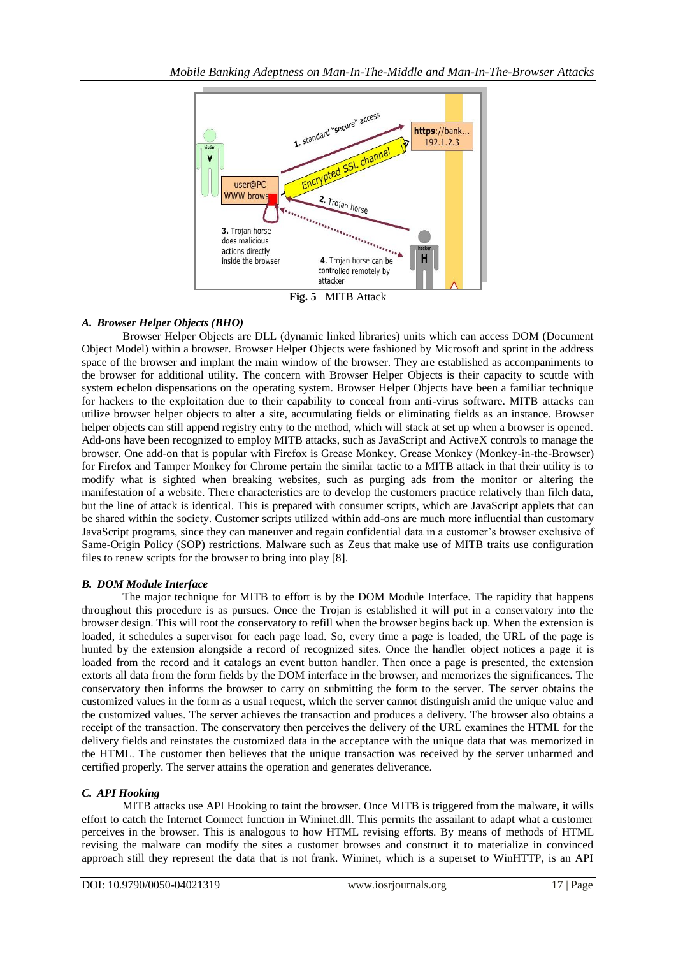

**Fig. 5** MITB Attack

# *A. Browser Helper Objects (BHO)*

Browser Helper Objects are DLL (dynamic linked libraries) units which can access DOM (Document Object Model) within a browser. Browser Helper Objects were fashioned by Microsoft and sprint in the address space of the browser and implant the main window of the browser. They are established as accompaniments to the browser for additional utility. The concern with Browser Helper Objects is their capacity to scuttle with system echelon dispensations on the operating system. Browser Helper Objects have been a familiar technique for hackers to the exploitation due to their capability to conceal from anti-virus software. MITB attacks can utilize browser helper objects to alter a site, accumulating fields or eliminating fields as an instance. Browser helper objects can still append registry entry to the method, which will stack at set up when a browser is opened. Add-ons have been recognized to employ MITB attacks, such as JavaScript and ActiveX controls to manage the browser. One add-on that is popular with Firefox is Grease Monkey. Grease Monkey (Monkey-in-the-Browser) for Firefox and Tamper Monkey for Chrome pertain the similar tactic to a MITB attack in that their utility is to modify what is sighted when breaking websites, such as purging ads from the monitor or altering the manifestation of a website. There characteristics are to develop the customers practice relatively than filch data, but the line of attack is identical. This is prepared with consumer scripts, which are JavaScript applets that can be shared within the society. Customer scripts utilized within add-ons are much more influential than customary JavaScript programs, since they can maneuver and regain confidential data in a customer's browser exclusive of Same-Origin Policy (SOP) restrictions. Malware such as Zeus that make use of MITB traits use configuration files to renew scripts for the browser to bring into play [8].

# *B. DOM Module Interface*

The major technique for MITB to effort is by the DOM Module Interface. The rapidity that happens throughout this procedure is as pursues. Once the Trojan is established it will put in a conservatory into the browser design. This will root the conservatory to refill when the browser begins back up. When the extension is loaded, it schedules a supervisor for each page load. So, every time a page is loaded, the URL of the page is hunted by the extension alongside a record of recognized sites. Once the handler object notices a page it is loaded from the record and it catalogs an event button handler. Then once a page is presented, the extension extorts all data from the form fields by the DOM interface in the browser, and memorizes the significances. The conservatory then informs the browser to carry on submitting the form to the server. The server obtains the customized values in the form as a usual request, which the server cannot distinguish amid the unique value and the customized values. The server achieves the transaction and produces a delivery. The browser also obtains a receipt of the transaction. The conservatory then perceives the delivery of the URL examines the HTML for the delivery fields and reinstates the customized data in the acceptance with the unique data that was memorized in the HTML. The customer then believes that the unique transaction was received by the server unharmed and certified properly. The server attains the operation and generates deliverance.

# *C. API Hooking*

MITB attacks use API Hooking to taint the browser. Once MITB is triggered from the malware, it wills effort to catch the Internet Connect function in Wininet.dll. This permits the assailant to adapt what a customer perceives in the browser. This is analogous to how HTML revising efforts. By means of methods of HTML revising the malware can modify the sites a customer browses and construct it to materialize in convinced approach still they represent the data that is not frank. Wininet, which is a superset to WinHTTP, is an API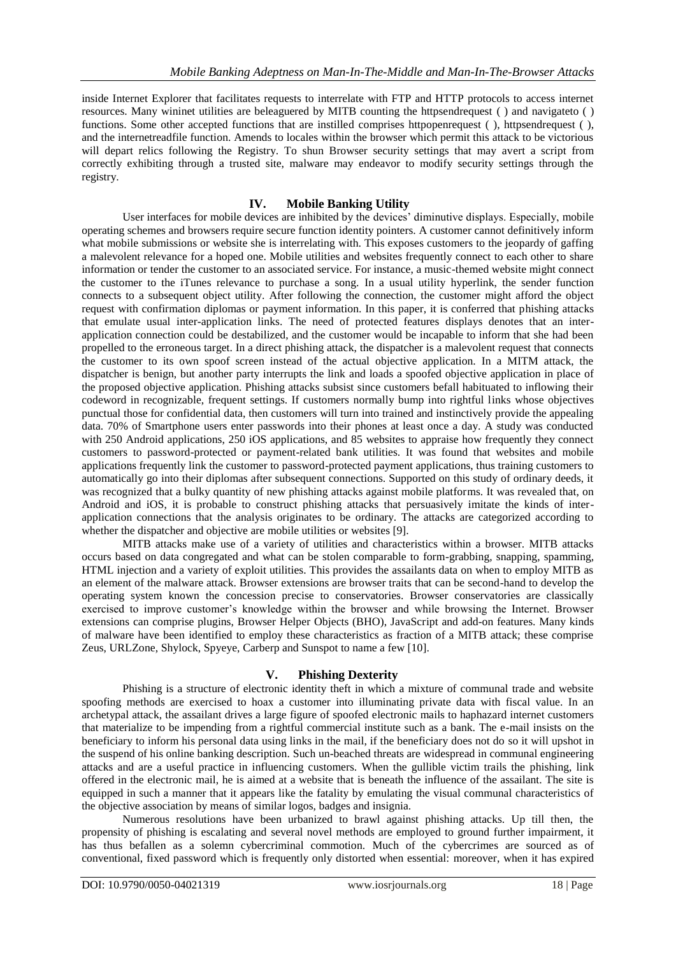inside Internet Explorer that facilitates requests to interrelate with FTP and HTTP protocols to access internet resources. Many wininet utilities are beleaguered by MITB counting the httpsendrequest ( ) and navigateto ( ) functions. Some other accepted functions that are instilled comprises httpopenrequest (), httpsendrequest (), and the internetreadfile function. Amends to locales within the browser which permit this attack to be victorious will depart relics following the Registry. To shun Browser security settings that may avert a script from correctly exhibiting through a trusted site, malware may endeavor to modify security settings through the registry.

### **IV. Mobile Banking Utility**

User interfaces for mobile devices are inhibited by the devices' diminutive displays. Especially, mobile operating schemes and browsers require secure function identity pointers. A customer cannot definitively inform what mobile submissions or website she is interrelating with. This exposes customers to the jeopardy of gaffing a malevolent relevance for a hoped one. Mobile utilities and websites frequently connect to each other to share information or tender the customer to an associated service. For instance, a music-themed website might connect the customer to the iTunes relevance to purchase a song. In a usual utility hyperlink, the sender function connects to a subsequent object utility. After following the connection, the customer might afford the object request with confirmation diplomas or payment information. In this paper, it is conferred that phishing attacks that emulate usual inter-application links. The need of protected features displays denotes that an interapplication connection could be destabilized, and the customer would be incapable to inform that she had been propelled to the erroneous target. In a direct phishing attack, the dispatcher is a malevolent request that connects the customer to its own spoof screen instead of the actual objective application. In a MITM attack, the dispatcher is benign, but another party interrupts the link and loads a spoofed objective application in place of the proposed objective application. Phishing attacks subsist since customers befall habituated to inflowing their codeword in recognizable, frequent settings. If customers normally bump into rightful links whose objectives punctual those for confidential data, then customers will turn into trained and instinctively provide the appealing data. 70% of Smartphone users enter passwords into their phones at least once a day. A study was conducted with 250 Android applications, 250 iOS applications, and 85 websites to appraise how frequently they connect customers to password-protected or payment-related bank utilities. It was found that websites and mobile applications frequently link the customer to password-protected payment applications, thus training customers to automatically go into their diplomas after subsequent connections. Supported on this study of ordinary deeds, it was recognized that a bulky quantity of new phishing attacks against mobile platforms. It was revealed that, on Android and iOS, it is probable to construct phishing attacks that persuasively imitate the kinds of interapplication connections that the analysis originates to be ordinary. The attacks are categorized according to whether the dispatcher and objective are mobile utilities or websites [9].

MITB attacks make use of a variety of utilities and characteristics within a browser. MITB attacks occurs based on data congregated and what can be stolen comparable to form-grabbing, snapping, spamming, HTML injection and a variety of exploit utilities. This provides the assailants data on when to employ MITB as an element of the malware attack. Browser extensions are browser traits that can be second-hand to develop the operating system known the concession precise to conservatories. Browser conservatories are classically exercised to improve customer's knowledge within the browser and while browsing the Internet. Browser extensions can comprise plugins, Browser Helper Objects (BHO), JavaScript and add-on features. Many kinds of malware have been identified to employ these characteristics as fraction of a MITB attack; these comprise Zeus, URLZone, Shylock, Spyeye, Carberp and Sunspot to name a few [10].

### **V. Phishing Dexterity**

Phishing is a structure of electronic identity theft in which a mixture of communal trade and website spoofing methods are exercised to hoax a customer into illuminating private data with fiscal value. In an archetypal attack, the assailant drives a large figure of spoofed electronic mails to haphazard internet customers that materialize to be impending from a rightful commercial institute such as a bank. The e-mail insists on the beneficiary to inform his personal data using links in the mail, if the beneficiary does not do so it will upshot in the suspend of his online banking description. Such un-beached threats are widespread in communal engineering attacks and are a useful practice in influencing customers. When the gullible victim trails the phishing, link offered in the electronic mail, he is aimed at a website that is beneath the influence of the assailant. The site is equipped in such a manner that it appears like the fatality by emulating the visual communal characteristics of the objective association by means of similar logos, badges and insignia.

Numerous resolutions have been urbanized to brawl against phishing attacks. Up till then, the propensity of phishing is escalating and several novel methods are employed to ground further impairment, it has thus befallen as a solemn cybercriminal commotion. Much of the cybercrimes are sourced as of conventional, fixed password which is frequently only distorted when essential: moreover, when it has expired